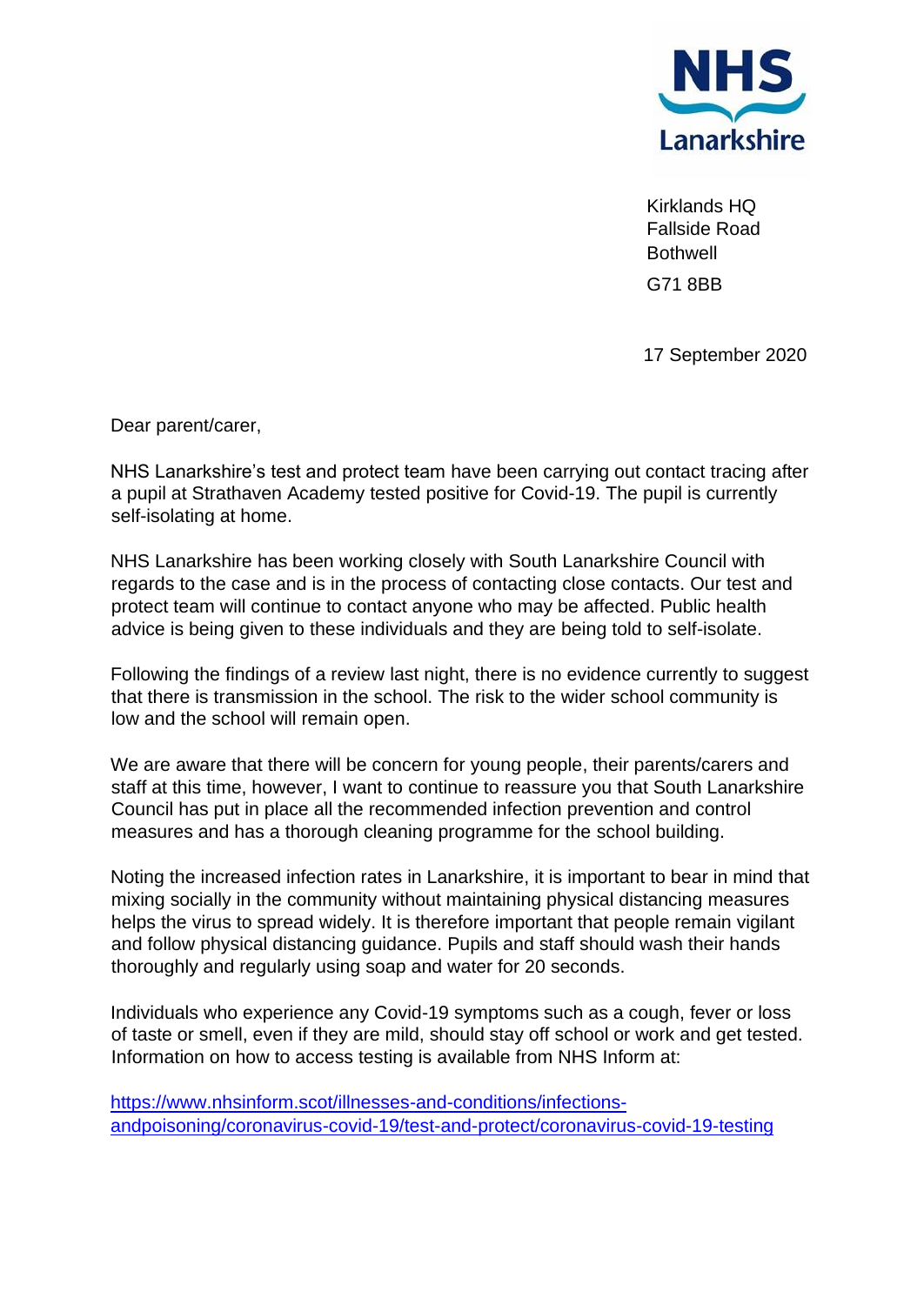

Kirklands HQ Fallside Road **Bothwell** G71 8BB

17 September 2020

Dear parent/carer,

NHS Lanarkshire's test and protect team have been carrying out contact tracing after a pupil at Strathaven Academy tested positive for Covid-19. The pupil is currently self-isolating at home.

NHS Lanarkshire has been working closely with South Lanarkshire Council with regards to the case and is in the process of contacting close contacts. Our test and protect team will continue to contact anyone who may be affected. Public health advice is being given to these individuals and they are being told to self-isolate.

Following the findings of a review last night, there is no evidence currently to suggest that there is transmission in the school. The risk to the wider school community is low and the school will remain open.

We are aware that there will be concern for young people, their parents/carers and staff at this time, however, I want to continue to reassure you that South Lanarkshire Council has put in place all the recommended infection prevention and control measures and has a thorough cleaning programme for the school building.

Noting the increased infection rates in Lanarkshire, it is important to bear in mind that mixing socially in the community without maintaining physical distancing measures helps the virus to spread widely. It is therefore important that people remain vigilant and follow physical distancing guidance. Pupils and staff should wash their hands thoroughly and regularly using soap and water for 20 seconds.

Individuals who experience any Covid-19 symptoms such as a cough, fever or loss of taste or smell, even if they are mild, should stay off school or work and get tested. Information on how to access testing is available from NHS Inform at:

[https://www.nhsinform.scot/illnesses-and-conditions/infections](https://www.nhsinform.scot/illnesses-and-conditions/infections-andpoisoning/coronavirus-covid-19/test-and-protect/coronavirus-covid-19-testing)[andpoisoning/coronavirus-covid-19/test-and-protect/coronavirus-covid-19-testing](https://www.nhsinform.scot/illnesses-and-conditions/infections-andpoisoning/coronavirus-covid-19/test-and-protect/coronavirus-covid-19-testing)